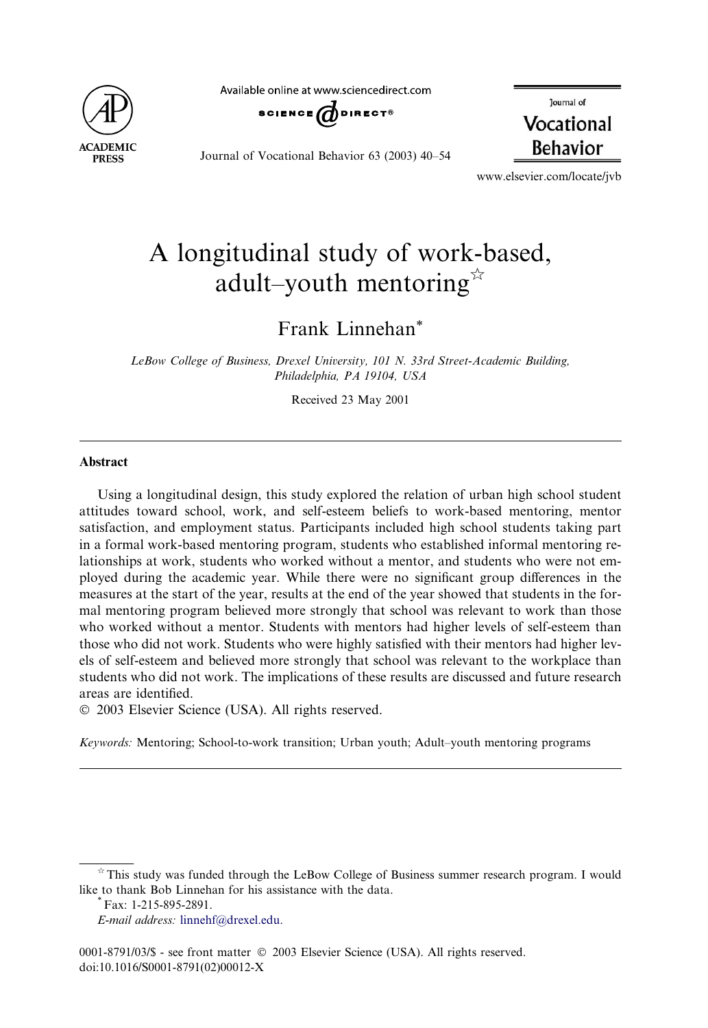

Available online at www.sciencedirect.com



Journal of Vocational Behavior 63 (2003) 40–54

lournal of Vocational **Behavior** 

www.elsevier.com/locate/jvb

## A longitudinal study of work-based, adult–youth mentoring $\mathbb{R}$

Frank Linnehan\*

LeBow College of Business, Drexel University, 101 N. 33rd Street-Academic Building, Philadelphia, PA 19104, USA

Received 23 May 2001

## Abstract

Using a longitudinal design, this study explored the relation of urban high school student attitudes toward school, work, and self-esteem beliefs to work-based mentoring, mentor satisfaction, and employment status. Participants included high school students taking part in a formal work-based mentoring program, students who established informal mentoring relationships at work, students who worked without a mentor, and students who were not employed during the academic year. While there were no significant group differences in the measures at the start of the year, results at the end of the year showed that students in the formal mentoring program believed more strongly that school was relevant to work than those who worked without a mentor. Students with mentors had higher levels of self-esteem than those who did not work. Students who were highly satisfied with their mentors had higher levels of self-esteem and believed more strongly that school was relevant to the workplace than students who did not work. The implications of these results are discussed and future research areas are identified.

2003 Elsevier Science (USA). All rights reserved.

Keywords: Mentoring; School-to-work transition; Urban youth; Adult–youth mentoring programs

 $\dot{\gamma}$  This study was funded through the LeBow College of Business summer research program. I would like to thank Bob Linnehan for his assistance with the data. \*Fax: 1-215-895-2891.

E-mail address: [linnehf@drexel.edu.](mail to: linnehf@drexel.edu)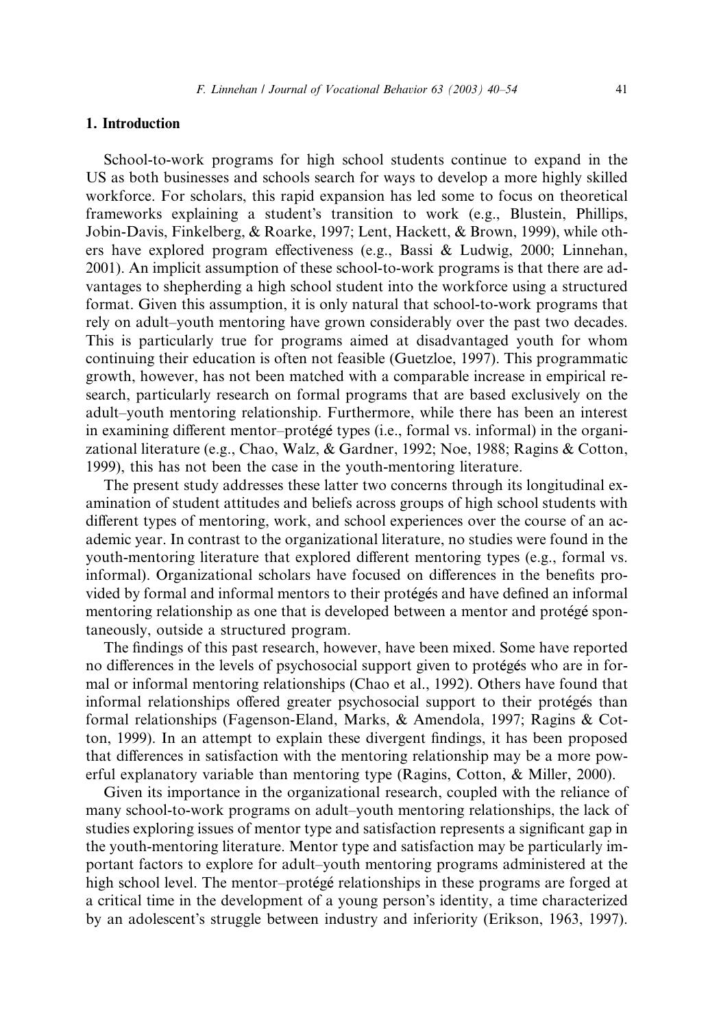## 1. Introduction

School-to-work programs for high school students continue to expand in the US as both businesses and schools search for ways to develop a more highly skilled workforce. For scholars, this rapid expansion has led some to focus on theoretical frameworks explaining a student's transition to work (e.g., Blustein, Phillips, Jobin-Davis, Finkelberg, & Roarke, 1997; Lent, Hackett, & Brown, 1999), while others have explored program effectiveness (e.g., Bassi & Ludwig, 2000; Linnehan, 2001). An implicit assumption of these school-to-work programs is that there are advantages to shepherding a high school student into the workforce using a structured format. Given this assumption, it is only natural that school-to-work programs that rely on adult–youth mentoring have grown considerably over the past two decades. This is particularly true for programs aimed at disadvantaged youth for whom continuing their education is often not feasible (Guetzloe, 1997). This programmatic growth, however, has not been matched with a comparable increase in empirical research, particularly research on formal programs that are based exclusively on the adult–youth mentoring relationship. Furthermore, while there has been an interest in examining different mentor–protégé types (i.e., formal vs. informal) in the organizational literature (e.g., Chao, Walz, & Gardner, 1992; Noe, 1988; Ragins & Cotton, 1999), this has not been the case in the youth-mentoring literature.

The present study addresses these latter two concerns through its longitudinal examination of student attitudes and beliefs across groups of high school students with different types of mentoring, work, and school experiences over the course of an academic year. In contrast to the organizational literature, no studies were found in the youth-mentoring literature that explored different mentoring types (e.g., formal vs. informal). Organizational scholars have focused on differences in the benefits provided by formal and informal mentors to their proteges and have defined an informal mentoring relationship as one that is developed between a mentor and protégé spontaneously, outside a structured program.

The findings of this past research, however, have been mixed. Some have reported no differences in the levels of psychosocial support given to proteges who are in formal or informal mentoring relationships (Chao et al., 1992). Others have found that informal relationships offered greater psychosocial support to their proteges than formal relationships (Fagenson-Eland, Marks, & Amendola, 1997; Ragins & Cotton, 1999). In an attempt to explain these divergent findings, it has been proposed that differences in satisfaction with the mentoring relationship may be a more powerful explanatory variable than mentoring type (Ragins, Cotton, & Miller, 2000).

Given its importance in the organizational research, coupled with the reliance of many school-to-work programs on adult–youth mentoring relationships, the lack of studies exploring issues of mentor type and satisfaction represents a significant gap in the youth-mentoring literature. Mentor type and satisfaction may be particularly important factors to explore for adult–youth mentoring programs administered at the high school level. The mentor–protégé relationships in these programs are forged at a critical time in the development of a young person's identity, a time characterized by an adolescent's struggle between industry and inferiority (Erikson, 1963, 1997).